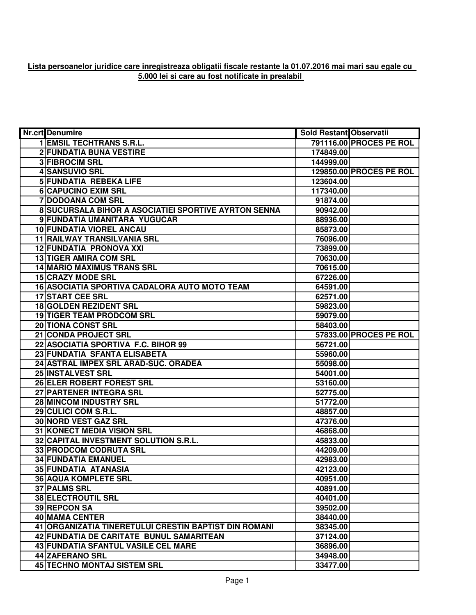## **Lista persoanelor juridice care inregistreaza obligatii fiscale restante la 01.07.2016 mai mari sau egale cu 5.000 lei si care au fost notificate in prealabil**

| <b>Nr.crt</b> Denumire                                | Sold Restant Observatii |                         |
|-------------------------------------------------------|-------------------------|-------------------------|
| <b>1 EMSIL TECHTRANS S.R.L.</b>                       |                         | 791116.00 PROCES PE ROL |
| <b>2 FUNDATIA BUNA VESTIRE</b>                        | 174849.00               |                         |
| <b>3 FIBROCIM SRL</b>                                 | 144999.00               |                         |
| <b>4 SANSUVIO SRL</b>                                 |                         | 129850.00 PROCES PE ROL |
| <b>5 FUNDATIA REBEKA LIFE</b>                         | 123604.00               |                         |
| <b>6 CAPUCINO EXIM SRL</b>                            | 117340.00               |                         |
| <b>7 DODOANA COM SRL</b>                              | 91874.00                |                         |
| 8 SUCURSALA BIHOR A ASOCIATIEI SPORTIVE AYRTON SENNA  | 90942.00                |                         |
| 9 FUNDATIA UMANITARA YUGUCAR                          | 88936.00                |                         |
| 10 FUNDATIA VIOREL ANCAU                              | 85873.00                |                         |
| 11 RAILWAY TRANSILVANIA SRL                           | 76096.00                |                         |
| 12 FUNDATIA PRONOVA XXI                               | 73899.00                |                         |
| <b>13 TIGER AMIRA COM SRL</b>                         | 70630.00                |                         |
| <b>14 MARIO MAXIMUS TRANS SRL</b>                     | 70615.00                |                         |
| <b>15 CRAZY MODE SRL</b>                              | 67226.00                |                         |
| 16 ASOCIATIA SPORTIVA CADALORA AUTO MOTO TEAM         | 64591.00                |                         |
| <b>17 START CEE SRL</b>                               | 62571.00                |                         |
| 18 GOLDEN REZIDENT SRL                                | 59823.00                |                         |
| <b>19 TIGER TEAM PRODCOM SRL</b>                      | 59079.00                |                         |
| 20 TIONA CONST SRL                                    | 58403.00                |                         |
| 21 CONDA PROJECT SRL                                  |                         | 57833.00 PROCES PE ROL  |
| 22 ASOCIATIA SPORTIVA F.C. BIHOR 99                   | 56721.00                |                         |
| 23 FUNDATIA SFANTA ELISABETA                          | 55960.00                |                         |
| 24 ASTRAL IMPEX SRL ARAD-SUC. ORADEA                  | 55098.00                |                         |
| 25 INSTALVEST SRL                                     | 54001.00                |                         |
| 26 ELER ROBERT FOREST SRL                             | 53160.00                |                         |
| 27 PARTENER INTEGRA SRL                               | 52775.00                |                         |
| 28 MINCOM INDUSTRY SRL                                | 51772.00                |                         |
| 29 CULICI COM S.R.L.                                  | 48857.00                |                         |
| <b>30 NORD VEST GAZ SRL</b>                           | 47376.00                |                         |
| <b>31 KONECT MEDIA VISION SRL</b>                     | 46868.00                |                         |
| 32 CAPITAL INVESTMENT SOLUTION S.R.L.                 | 45833.00                |                         |
| 33 PRODCOM CODRUTA SRL                                | 44209.00                |                         |
| <b>34 FUNDATIA EMANUEL</b>                            | 42983.00                |                         |
| <b>35 FUNDATIA ATANASIA</b>                           | 42123.00                |                         |
| <b>36 AQUA KOMPLETE SRL</b>                           | 40951.00                |                         |
| <b>37 PALMS SRL</b>                                   | 40891.00                |                         |
| <b>38 ELECTROUTIL SRL</b>                             | 40401.00                |                         |
| 39 REPCON SA                                          | 39502.00                |                         |
| 40 MAMA CENTER                                        | 38440.00                |                         |
| 41 ORGANIZATIA TINERETULUI CRESTIN BAPTIST DIN ROMANI | 38345.00                |                         |
| 42 FUNDATIA DE CARITATE BUNUL SAMARITEAN              | 37124.00                |                         |
| 43 FUNDATIA SFANTUL VASILE CEL MARE                   | 36896.00                |                         |
| 44 ZAFERANO SRL                                       | 34948.00                |                         |
| 45 TECHNO MONTAJ SISTEM SRL                           | 33477.00                |                         |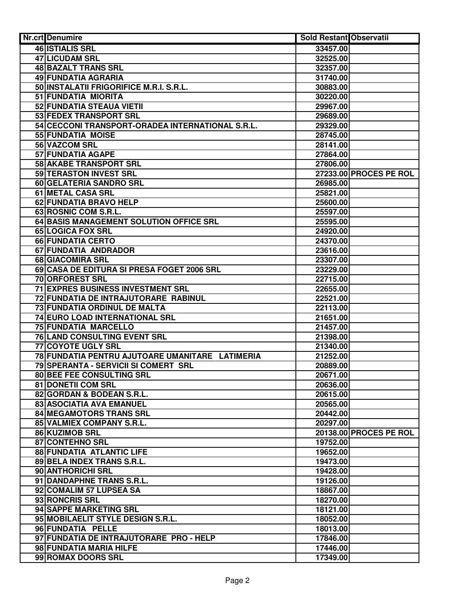| Nr.crt Denumire                                  | <b>Sold Restant Observatii</b> |                        |
|--------------------------------------------------|--------------------------------|------------------------|
| <b>46 ISTIALIS SRL</b>                           | 33457.00                       |                        |
| 47 LICUDAM SRL                                   | 32525.00                       |                        |
| 48 BAZALT TRANS SRL                              | 32357.00                       |                        |
| 49 FUNDATIA AGRARIA                              | 31740.00                       |                        |
| 50 INSTALATII FRIGORIFICE M.R.I. S.R.L.          | 30883.00                       |                        |
| 51 FUNDATIA MIORITA                              | 30220.00                       |                        |
| 52 FUNDATIA STEAUA VIETII                        | 29967.00                       |                        |
| 53 FEDEX TRANSPORT SRL                           | 29689.00                       |                        |
| 54 CECCONI TRANSPORT-ORADEA INTERNATIONAL S.R.L. | 29329.00                       |                        |
| 55 FUNDATIA MOISE                                | 28745.00                       |                        |
| 56 VAZCOM SRL                                    | 28141.00                       |                        |
| 57 FUNDATIA AGAPE                                | 27864.00                       |                        |
| 58 AKABE TRANSPORT SRL                           | 27806.00                       |                        |
| 59 TERASTON INVEST SRL                           |                                | 27233.00 PROCES PE ROL |
| 60 GELATERIA SANDRO SRL                          | 26985.00                       |                        |
| 61 METAL CASA SRL                                | 25821.00                       |                        |
| 62 FUNDATIA BRAVO HELP                           | 25600.00                       |                        |
| 63 ROSNIC COM S.R.L.                             | 25597.00                       |                        |
| 64 BASIS MANAGEMENT SOLUTION OFFICE SRL          | 25595.00                       |                        |
| 65 LOGICA FOX SRL                                | 24920.00                       |                        |
| 66 FUNDATIA CERTO                                | 24370.00                       |                        |
| 67 FUNDATIA ANDRADOR                             | 23616.00                       |                        |
| 68 GIACOMIRA SRL                                 | 23307.00                       |                        |
| 69 CASA DE EDITURA SI PRESA FOGET 2006 SRL       | 23229.00                       |                        |
| <b>70 ORFOREST SRL</b>                           | 22715.00                       |                        |
| <b>71 EXPRES BUSINESS INVESTMENT SRL</b>         | 22655.00                       |                        |
| 72 FUNDATIA DE INTRAJUTORARE RABINUL             | 22521.00                       |                        |
| 73 FUNDATIA ORDINUL DE MALTA                     | 22113.00                       |                        |
| 74 EURO LOAD INTERNATIONAL SRL                   | 21651.00                       |                        |
| <b>75 FUNDATIA MARCELLO</b>                      | 21457.00                       |                        |
| 76 LAND CONSULTING EVENT SRL                     | 21398.00                       |                        |
| <b>77 COYOTE UGLY SRL</b>                        | 21340.00                       |                        |
| 78 FUNDATIA PENTRU AJUTOARE UMANITARE LATIMERIA  | 21252.00                       |                        |
| 79 SPERANTA - SERVICII SI COMERT SRL             | 20889.00                       |                        |
| 80 BEE FEE CONSULTING SRL                        | 20671.00                       |                        |
| 81 DONETII COM SRL                               | 20636.00                       |                        |
| 82 GORDAN & BODEAN S.R.L.                        | 20615.00                       |                        |
| 83 ASOCIATIA AVA EMANUEL                         | 20565.00                       |                        |
| 84 MEGAMOTORS TRANS SRL                          | 20442.00                       |                        |
| 85 VALMIEX COMPANY S.R.L.                        | 20297.00                       |                        |
| 86 KUZIMOB SRL                                   |                                | 20138.00 PROCES PE ROL |
| 87 CONTEHNO SRL                                  | 19752.00                       |                        |
| 88 FUNDATIA ATLANTIC LIFE                        | 19652.00                       |                        |
| 89 BELA INDEX TRANS S.R.L.                       | 19473.00                       |                        |
| 90 ANTHORICHI SRL                                | 19428.00                       |                        |
| 91 DANDAPHNE TRANS S.R.L.                        | 19126.00                       |                        |
| 92 COMALIM 57 LUPSEA SA                          | 18867.00                       |                        |
| 93 RONCRIS SRL                                   | 18270.00                       |                        |
| 94 SAPPE MARKETING SRL                           | 18121.00                       |                        |
| 95 MOBILAELIT STYLE DESIGN S.R.L.                | 18052.00                       |                        |
| 96 FUNDATIA PELLE                                | 18013.00                       |                        |
| 97 FUNDATIA DE INTRAJUTORARE PRO - HELP          | 17846.00                       |                        |
| 98 FUNDATIA MARIA HILFE                          | 17446.00                       |                        |
| 99 ROMAX DOORS SRL                               | 17349.00                       |                        |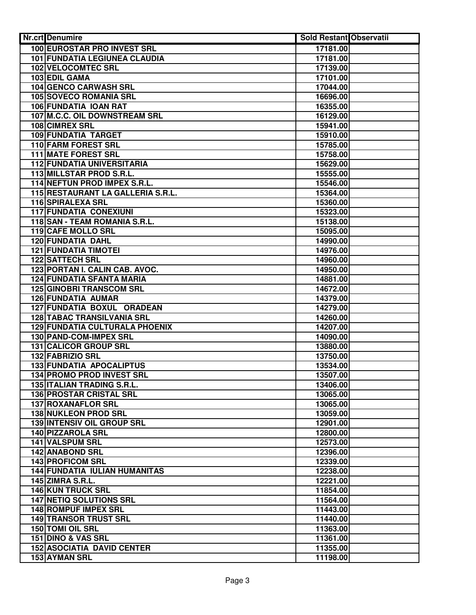| <b>Nr.crt</b> Denumire                                  | <b>Sold Restant Observatii</b> |  |
|---------------------------------------------------------|--------------------------------|--|
| <b>100 EUROSTAR PRO INVEST SRL</b>                      | 17181.00                       |  |
| <b>101 FUNDATIA LEGIUNEA CLAUDIA</b>                    | 17181.00                       |  |
| 102 VELOCOMTEC SRL                                      | 17139.00                       |  |
| 103 EDIL GAMA                                           | 17101.00                       |  |
| 104 GENCO CARWASH SRL                                   | 17044.00                       |  |
| 105 SOVECO ROMANIA SRL                                  | 16696.00                       |  |
| 106 FUNDATIA IOAN RAT                                   | 16355.00                       |  |
| 107 M.C.C. OIL DOWNSTREAM SRL                           | 16129.00                       |  |
| 108 CIMREX SRL                                          | 15941.00                       |  |
| 109 FUNDATIA TARGET                                     | 15910.00                       |  |
| 110 FARM FOREST SRL                                     | 15785.00                       |  |
| <b>111 MATE FOREST SRL</b>                              | 15758.00                       |  |
| <b>112 FUNDATIA UNIVERSITARIA</b>                       | 15629.00                       |  |
| 113 MILLSTAR PROD S.R.L.                                | 15555.00                       |  |
| 114 NEFTUN PROD IMPEX S.R.L.                            | 15546.00                       |  |
| 115 RESTAURANT LA GALLERIA S.R.L.                       | 15364.00                       |  |
| 116 SPIRALEXA SRL                                       | 15360.00                       |  |
| <b>117 FUNDATIA CONEXIUNI</b>                           | 15323.00                       |  |
| 118 SAN - TEAM ROMANIA S.R.L.                           | 15138.00                       |  |
| 119 CAFE MOLLO SRL                                      | 15095.00                       |  |
| <b>120 FUNDATIA DAHL</b>                                | 14990.00                       |  |
| <b>121 FUNDATIA TIMOTEI</b>                             | 14976.00                       |  |
| <b>122 SATTECH SRL</b>                                  | 14960.00                       |  |
| 123 PORTAN I. CALIN CAB. AVOC.                          | 14950.00                       |  |
| <b>124 FUNDATIA SFANTA MARIA</b>                        | 14881.00                       |  |
| <b>125 GINOBRI TRANSCOM SRL</b>                         | 14672.00                       |  |
| 126 FUNDATIA AUMAR                                      | 14379.00                       |  |
| 127 FUNDATIA BOXUL ORADEAN                              | 14279.00                       |  |
| <b>128 TABAC TRANSILVANIA SRL</b>                       | 14260.00                       |  |
| <b>129 FUNDATIA CULTURALA PHOENIX</b>                   | 14207.00                       |  |
| 130 PAND-COM-IMPEX SRL                                  | 14090.00                       |  |
| 131 CALICOR GROUP SRL                                   | 13880.00                       |  |
| 132 FABRIZIO SRL                                        | 13750.00                       |  |
| <b>133 FUNDATIA APOCALIPTUS</b>                         | 13534.00                       |  |
| 134 PROMO PROD INVEST SRL<br>135 ITALIAN TRADING S.R.L. | 13507.00                       |  |
| <b>136 PROSTAR CRISTAL SRL</b>                          | 13406.00<br>13065.00           |  |
| 137 ROXANAFLOR SRL                                      | 13065.00                       |  |
| 138 NUKLEON PROD SRL                                    | 13059.00                       |  |
| <b>139 INTENSIV OIL GROUP SRL</b>                       | 12901.00                       |  |
| 140 PIZZAROLA SRL                                       | 12800.00                       |  |
| 141 VALSPUM SRL                                         | 12573.00                       |  |
| 142 ANABOND SRL                                         | 12396.00                       |  |
| 143 PROFICOM SRL                                        | 12339.00                       |  |
| <b>144 FUNDATIA IULIAN HUMANITAS</b>                    | 12238.00                       |  |
| <b>145 ZIMRA S.R.L.</b>                                 | 12221.00                       |  |
| <b>146 KUN TRUCK SRL</b>                                | 11854.00                       |  |
| <b>147 NETIQ SOLUTIONS SRL</b>                          | 11564.00                       |  |
| <b>148 ROMPUF IMPEX SRL</b>                             | 11443.00                       |  |
| <b>149 TRANSOR TRUST SRL</b>                            | 11440.00                       |  |
| 150 TOMI OIL SRL                                        | 11363.00                       |  |
| 151 DINO & VAS SRL                                      | 11361.00                       |  |
| <b>152 ASOCIATIA DAVID CENTER</b>                       | 11355.00                       |  |
| 153 AYMAN SRL                                           | 11198.00                       |  |
|                                                         |                                |  |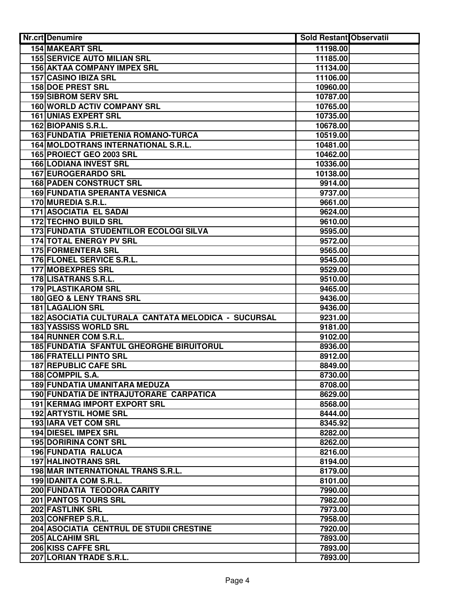| <b>Nr.crt</b> Denumire                              | <b>Sold Restant Observatii</b> |  |
|-----------------------------------------------------|--------------------------------|--|
| <b>154 MAKEART SRL</b>                              | 11198.00                       |  |
| <b>155 SERVICE AUTO MILIAN SRL</b>                  | 11185.00                       |  |
| <b>156 AKTAA COMPANY IMPEX SRL</b>                  | 11134.00                       |  |
| 157 CASINO IBIZA SRL                                | 11106.00                       |  |
| 158 DOE PREST SRL                                   | 10960.00                       |  |
| <b>159 SIBROM SERV SRL</b>                          | 10787.00                       |  |
| 160 WORLD ACTIV COMPANY SRL                         | 10765.00                       |  |
| <b>161 UNIAS EXPERT SRL</b>                         | 10735.00                       |  |
| 162 BIOPANIS S.R.L.                                 | 10678.00                       |  |
| 163 FUNDATIA PRIETENIA ROMANO-TURCA                 | 10519.00                       |  |
| 164 MOLDOTRANS INTERNATIONAL S.R.L.                 | 10481.00                       |  |
| 165 PROIECT GEO 2003 SRL                            | 10462.00                       |  |
| <b>166 LODIANA INVEST SRL</b>                       | 10336.00                       |  |
| <b>167 EUROGERARDO SRL</b>                          | 10138.00                       |  |
| <b>168 PADEN CONSTRUCT SRL</b>                      | 9914.00                        |  |
| <b>169 FUNDATIA SPERANTA VESNICA</b>                | 9737.00                        |  |
| 170 MUREDIA S.R.L.                                  | 9661.00                        |  |
| 171 ASOCIATIA EL SADAI                              | 9624.00                        |  |
| <b>172 TECHNO BUILD SRL</b>                         | 9610.00                        |  |
| <b>173 FUNDATIA STUDENTILOR ECOLOGI SILVA</b>       | 9595.00                        |  |
| <b>174 TOTAL ENERGY PV SRL</b>                      | 9572.00                        |  |
| <b>175 FORMENTERA SRL</b>                           | 9565.00                        |  |
| 176 FLONEL SERVICE S.R.L.                           | 9545.00                        |  |
| <b>177 MOBEXPRES SRL</b>                            | 9529.00                        |  |
| 178 LISATRANS S.R.L.                                | 9510.00                        |  |
| <b>179 PLASTIKAROM SRL</b>                          | 9465.00                        |  |
| 180 GEO & LENY TRANS SRL                            | 9436.00                        |  |
| <b>181 LAGALION SRL</b>                             | 9436.00                        |  |
| 182 ASOCIATIA CULTURALA CANTATA MELODICA - SUCURSAL | 9231.00                        |  |
| <b>183 YASSISS WORLD SRL</b>                        | 9181.00                        |  |
| 184 RUNNER COM S.R.L.                               | 9102.00                        |  |
| 185 FUNDATIA SFANTUL GHEORGHE BIRUITORUL            | 8936.00                        |  |
| <b>186 FRATELLI PINTO SRL</b>                       | 8912.00                        |  |
| 187 REPUBLIC CAFE SRL                               | 8849.00                        |  |
| 188 COMPPIL S.A.                                    | 8730.00                        |  |
| 189 FUNDATIA UMANITARA MEDUZA                       | 8708.00                        |  |
| 190 FUNDATIA DE INTRAJUTORARE CARPATICA             | 8629.00                        |  |
| 191 KERMAG IMPORT EXPORT SRL                        | 8568.00                        |  |
| <b>192 ARTYSTIL HOME SRL</b>                        | 8444.00                        |  |
| <b>193 IARA VET COM SRL</b>                         | 8345.92                        |  |
| 194 DIESEL IMPEX SRL                                | 8282.00                        |  |
| <b>195 DORIRINA CONT SRL</b>                        | 8262.00                        |  |
| <b>196 FUNDATIA RALUCA</b>                          | 8216.00                        |  |
| <b>197 HALINOTRANS SRL</b>                          | 8194.00                        |  |
| 198 MAR INTERNATIONAL TRANS S.R.L.                  | 8179.00                        |  |
| 199 IDANITA COM S.R.L.                              | 8101.00                        |  |
| 200 FUNDATIA TEODORA CARITY                         | 7990.00                        |  |
| 201 PANTOS TOURS SRL                                | 7982.00                        |  |
| <b>202 FASTLINK SRL</b>                             | 7973.00                        |  |
| 203 CONFREP S.R.L.                                  | 7958.00                        |  |
| 204 ASOCIATIA CENTRUL DE STUDII CRESTINE            | 7920.00                        |  |
| 205 ALCAHIM SRL                                     | 7893.00                        |  |
| 206 KISS CAFFE SRL                                  | 7893.00                        |  |
| 207 LORIAN TRADE S.R.L.                             | 7893.00                        |  |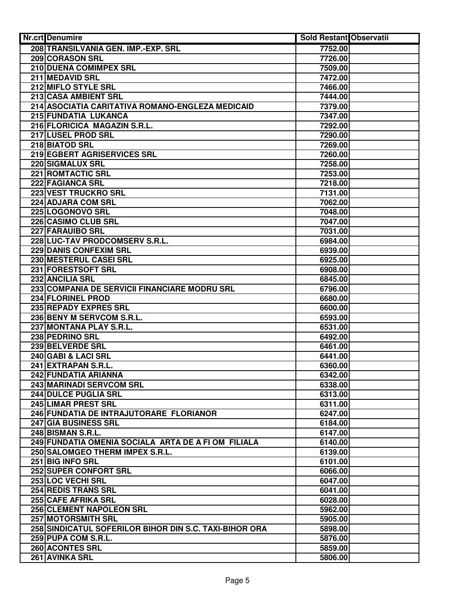| Nr.crt Denumire                                        | <b>Sold Restant Observatii</b> |  |
|--------------------------------------------------------|--------------------------------|--|
| 208 TRANSILVANIA GEN. IMP.-EXP. SRL                    | 7752.00                        |  |
| 209 CORASON SRL                                        | 7726.00                        |  |
| 210 DUENA COMIMPEX SRL                                 | 7509.00                        |  |
| 211 MEDAVID SRL                                        | 7472.00                        |  |
| 212 MIFLO STYLE SRL                                    | 7466.00                        |  |
| 213 CASA AMBIENT SRL                                   | 7444.00                        |  |
| 214 ASOCIATIA CARITATIVA ROMANO-ENGLEZA MEDICAID       | 7379.00                        |  |
| 215 FUNDATIA LUKANCA                                   | 7347.00                        |  |
| 216 FLORICICA MAGAZIN S.R.L.                           | 7292.00                        |  |
| 217 LUSEL PROD SRL                                     | 7290.00                        |  |
| 218 BIATOD SRL                                         | 7269.00                        |  |
| 219 EGBERT AGRISERVICES SRL                            | 7260.00                        |  |
| 220 SIGMALUX SRL                                       | 7258.00                        |  |
| <b>221 ROMTACTIC SRL</b>                               | 7253.00                        |  |
| 222 FAGIANCA SRL                                       | 7218.00                        |  |
| 223 VEST TRUCKRO SRL                                   | 7131.00                        |  |
| 224 ADJARA COM SRL                                     | 7062.00                        |  |
| 225 LOGONOVO SRL                                       | 7048.00                        |  |
| 226 CASIMO CLUB SRL                                    | 7047.00                        |  |
| 227 FARAUIBO SRL                                       | 7031.00                        |  |
| 228 LUC-TAV PRODCOMSERV S.R.L.                         | 6984.00                        |  |
| <b>229 DANIS CONFEXIM SRL</b>                          | 6939.00                        |  |
| <b>230 MESTERUL CASEI SRL</b>                          | 6925.00                        |  |
| 231 FORESTSOFT SRL                                     | 6908.00                        |  |
| 232 ANCILIA SRL                                        | 6845.00                        |  |
| 233 COMPANIA DE SERVICII FINANCIARE MODRU SRL          |                                |  |
| 234 FLORINEL PROD                                      | 6796.00                        |  |
| 235 REPADY EXPRES SRL                                  | 6680.00                        |  |
|                                                        | 6600.00                        |  |
| 236 BENY M SERVCOM S.R.L.                              | 6593.00                        |  |
| 237 MONTANA PLAY S.R.L.                                | 6531.00                        |  |
| 238 PEDRINO SRL                                        | 6492.00                        |  |
| 239 BELVERDE SRL                                       | 6461.00                        |  |
| 240 GABI & LACI SRL                                    | 6441.00                        |  |
| 241 EXTRAPAN S.R.L.                                    | 6360.00                        |  |
| 242 FUNDATIA ARIANNA                                   | 6342.00                        |  |
| 243 MARINADI SERVCOM SRL                               | 6338.00                        |  |
| <b>244 DULCE PUGLIA SRL</b>                            | 6313.00                        |  |
| 245 LIMAR PREST SRL                                    | 6311.00                        |  |
| 246 FUNDATIA DE INTRAJUTORARE FLORIANOR                | 6247.00                        |  |
| 247 GIA BUSINESS SRL                                   | 6184.00                        |  |
| 248 BISMAN S.R.L.                                      | 6147.00                        |  |
| 249 FUNDATIA OMENIA SOCIALA ARTA DE A FI OM FILIALA    | 6140.00                        |  |
| 250 SALOMGEO THERM IMPEX S.R.L.                        | 6139.00                        |  |
| 251 BIG INFO SRL                                       | 6101.00                        |  |
| 252 SUPER CONFORT SRL                                  | 6066.00                        |  |
| 253 LOC VECHI SRL                                      | 6047.00                        |  |
| <b>254 REDIS TRANS SRL</b>                             | 6041.00                        |  |
| 255 CAFE AFRIKA SRL                                    | 6028.00                        |  |
| 256 CLEMENT NAPOLEON SRL                               | 5962.00                        |  |
| <b>257 MOTORSMITH SRL</b>                              | 5905.00                        |  |
| 258 SINDICATUL SOFERILOR BIHOR DIN S.C. TAXI-BIHOR ORA | 5898.00                        |  |
| 259 PUPA COM S.R.L.                                    | 5876.00                        |  |
| 260 ACONTES SRL                                        | 5859.00                        |  |
| 261 AVINKA SRL                                         | 5806.00                        |  |